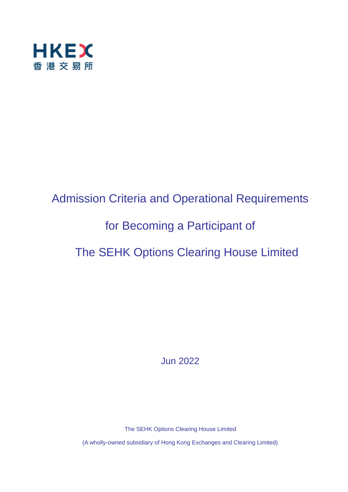

# Admission Criteria and Operational Requirements for Becoming a Participant of The SEHK Options Clearing House Limited

Jun 2022

The SEHK Options Clearing House Limited

(A wholly-owned subsidiary of Hong Kong Exchanges and Clearing Limited)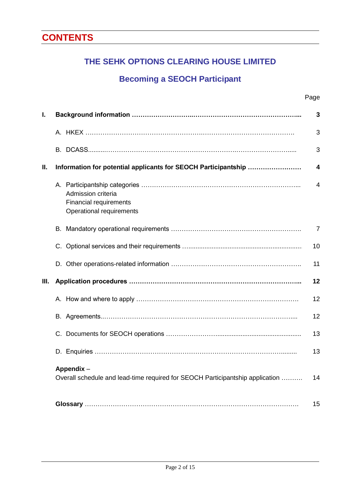# **CONTENTS**

# **THE SEHK OPTIONS CLEARING HOUSE LIMITED**

# **Becoming a SEOCH Participant**

| I. |                                                                                            | 3              |
|----|--------------------------------------------------------------------------------------------|----------------|
|    |                                                                                            | 3              |
|    |                                                                                            | 3              |
| Ш. | Information for potential applicants for SEOCH Participantship                             | 4              |
|    | Admission criteria<br><b>Financial requirements</b><br>Operational requirements            | 4              |
|    |                                                                                            | $\overline{7}$ |
|    |                                                                                            | 10             |
|    |                                                                                            | 11             |
| Ш. |                                                                                            | 12             |
|    |                                                                                            | 12             |
|    |                                                                                            | 12             |
|    |                                                                                            | 13             |
|    |                                                                                            | 13             |
|    | Appendix-<br>Overall schedule and lead-time required for SEOCH Participantship application | 14             |
|    |                                                                                            | 15             |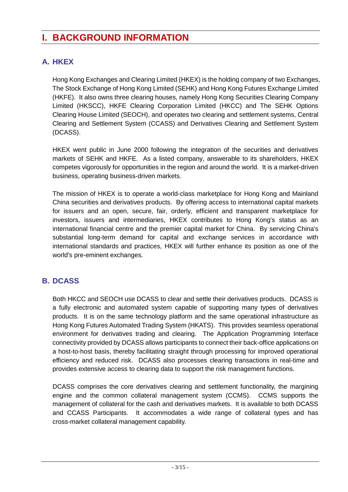# **I. BACKGROUND INFORMATION**

# **A. HKEX**

Hong Kong Exchanges and Clearing Limited (HKEX) is the holding company of two Exchanges, The Stock Exchange of Hong Kong Limited (SEHK) and Hong Kong Futures Exchange Limited (HKFE). It also owns three clearing houses, namely Hong Kong Securities Clearing Company Limited (HKSCC), HKFE Clearing Corporation Limited (HKCC) and The SEHK Options Clearing House Limited (SEOCH), and operates two clearing and settlement systems, Central Clearing and Settlement System (CCASS) and Derivatives Clearing and Settlement System (DCASS).

HKEX went public in June 2000 following the integration of the securities and derivatives markets of SEHK and HKFE. As a listed company, answerable to its shareholders, HKEX competes vigorously for opportunities in the region and around the world. It is a market-driven business, operating business-driven markets.

The mission of HKEX is to operate a world-class marketplace for Hong Kong and Mainland China securities and derivatives products. By offering access to international capital markets for issuers and an open, secure, fair, orderly, efficient and transparent marketplace for investors, issuers and intermediaries, HKEX contributes to Hong Kong's status as an international financial centre and the premier capital market for China. By servicing China's substantial long-term demand for capital and exchange services in accordance with international standards and practices, HKEX will further enhance its position as one of the world's pre-eminent exchanges.

# **B. DCASS**

Both HKCC and SEOCH use DCASS to clear and settle their derivatives products. DCASS is a fully electronic and automated system capable of supporting many types of derivatives products. It is on the same technology platform and the same operational infrastructure as Hong Kong Futures Automated Trading System (HKATS). This provides seamless operational environment for derivatives trading and clearing. The Application Programming Interface connectivity provided by DCASS allows participants to connect their back-office applications on a host-to-host basis, thereby facilitating straight through processing for improved operational efficiency and reduced risk. DCASS also processes clearing transactions in real-time and provides extensive access to clearing data to support the risk management functions.

DCASS comprises the core derivatives clearing and settlement functionality, the margining engine and the common collateral management system (CCMS). CCMS supports the management of collateral for the cash and derivatives markets. It is available to both DCASS and CCASS Participants. It accommodates a wide range of collateral types and has cross-market collateral management capability.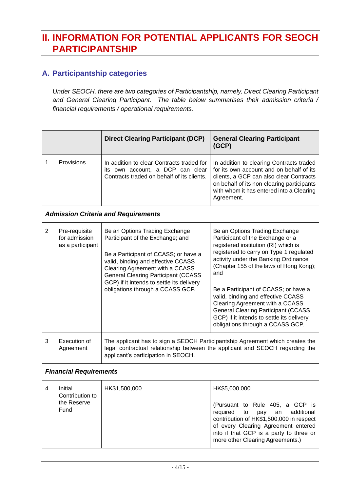# **II. INFORMATION FOR POTENTIAL APPLICANTS FOR SEOCH PARTICIPANTSHIP**

## **A. Participantship categories**

*Under SEOCH, there are two categories of Participantship, namely, Direct Clearing Participant and General Clearing Participant. The table below summarises their admission criteria / financial requirements / operational requirements.*

|                               |                                                    | <b>Direct Clearing Participant (DCP)</b>                                                                                                                                                                                                                                                                           | <b>General Clearing Participant</b><br>(GCP)                                                                                                                                                                                                                                                                                                                                                                                                                                                    |
|-------------------------------|----------------------------------------------------|--------------------------------------------------------------------------------------------------------------------------------------------------------------------------------------------------------------------------------------------------------------------------------------------------------------------|-------------------------------------------------------------------------------------------------------------------------------------------------------------------------------------------------------------------------------------------------------------------------------------------------------------------------------------------------------------------------------------------------------------------------------------------------------------------------------------------------|
| 1                             | <b>Provisions</b>                                  | In addition to clear Contracts traded for<br>its own account, a DCP can clear<br>Contracts traded on behalf of its clients.                                                                                                                                                                                        | In addition to clearing Contracts traded<br>for its own account and on behalf of its<br>clients, a GCP can also clear Contracts<br>on behalf of its non-clearing participants<br>with whom it has entered into a Clearing<br>Agreement.                                                                                                                                                                                                                                                         |
|                               |                                                    | <b>Admission Criteria and Requirements</b>                                                                                                                                                                                                                                                                         |                                                                                                                                                                                                                                                                                                                                                                                                                                                                                                 |
| $\overline{2}$                | Pre-requisite<br>for admission<br>as a participant | Be an Options Trading Exchange<br>Participant of the Exchange; and<br>Be a Participant of CCASS; or have a<br>valid, binding and effective CCASS<br>Clearing Agreement with a CCASS<br><b>General Clearing Participant (CCASS</b><br>GCP) if it intends to settle its delivery<br>obligations through a CCASS GCP. | Be an Options Trading Exchange<br>Participant of the Exchange or a<br>registered institution (RI) which is<br>registered to carry on Type 1 regulated<br>activity under the Banking Ordinance<br>(Chapter 155 of the laws of Hong Kong);<br>and<br>Be a Participant of CCASS; or have a<br>valid, binding and effective CCASS<br>Clearing Agreement with a CCASS<br><b>General Clearing Participant (CCASS</b><br>GCP) if it intends to settle its delivery<br>obligations through a CCASS GCP. |
| 3                             | Execution of<br>Agreement                          | The applicant has to sign a SEOCH Participantship Agreement which creates the<br>legal contractual relationship between the applicant and SEOCH regarding the<br>applicant's participation in SEOCH.                                                                                                               |                                                                                                                                                                                                                                                                                                                                                                                                                                                                                                 |
| <b>Financial Requirements</b> |                                                    |                                                                                                                                                                                                                                                                                                                    |                                                                                                                                                                                                                                                                                                                                                                                                                                                                                                 |
| 4                             | Initial<br>Contribution to<br>the Reserve<br>Fund  | HK\$1,500,000                                                                                                                                                                                                                                                                                                      | HK\$5,000,000<br>(Pursuant to Rule 405, a GCP is<br>required<br>additional<br>an<br>to<br>pay<br>contribution of HK\$1,500,000 in respect<br>of every Clearing Agreement entered<br>into if that GCP is a party to three or<br>more other Clearing Agreements.)                                                                                                                                                                                                                                 |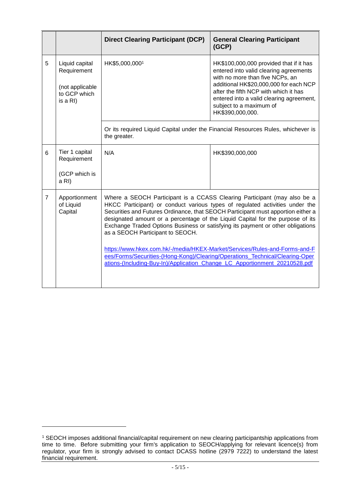|                |                                                                              | <b>Direct Clearing Participant (DCP)</b>                                                                                                                                                                                                                                                                                                                                                                                                                                                                                                                                                                                                                                                          | <b>General Clearing Participant</b><br>(GCP)                                                                                                                                                                                                                                                       |  |
|----------------|------------------------------------------------------------------------------|---------------------------------------------------------------------------------------------------------------------------------------------------------------------------------------------------------------------------------------------------------------------------------------------------------------------------------------------------------------------------------------------------------------------------------------------------------------------------------------------------------------------------------------------------------------------------------------------------------------------------------------------------------------------------------------------------|----------------------------------------------------------------------------------------------------------------------------------------------------------------------------------------------------------------------------------------------------------------------------------------------------|--|
| 5              | Liquid capital<br>Requirement<br>(not applicable<br>to GCP which<br>is a RI) | HK\$5,000,0001                                                                                                                                                                                                                                                                                                                                                                                                                                                                                                                                                                                                                                                                                    | HK\$100,000,000 provided that if it has<br>entered into valid clearing agreements<br>with no more than five NCPs, an<br>additional HK\$20,000,000 for each NCP<br>after the fifth NCP with which it has<br>entered into a valid clearing agreement,<br>subject to a maximum of<br>HK\$390,000,000. |  |
|                |                                                                              | the greater.                                                                                                                                                                                                                                                                                                                                                                                                                                                                                                                                                                                                                                                                                      | Or its required Liquid Capital under the Financial Resources Rules, whichever is                                                                                                                                                                                                                   |  |
| 6              | Tier 1 capital<br>Requirement                                                | N/A                                                                                                                                                                                                                                                                                                                                                                                                                                                                                                                                                                                                                                                                                               | HK\$390,000,000                                                                                                                                                                                                                                                                                    |  |
|                | (GCP which is<br>a RI)                                                       |                                                                                                                                                                                                                                                                                                                                                                                                                                                                                                                                                                                                                                                                                                   |                                                                                                                                                                                                                                                                                                    |  |
| $\overline{7}$ | Apportionment<br>of Liquid<br>Capital                                        | Where a SEOCH Participant is a CCASS Clearing Participant (may also be a<br>HKCC Participant) or conduct various types of regulated activities under the<br>Securities and Futures Ordinance, that SEOCH Participant must apportion either a<br>designated amount or a percentage of the Liquid Capital for the purpose of its<br>Exchange Traded Options Business or satisfying its payment or other obligations<br>as a SEOCH Participant to SEOCH.<br>https://www.hkex.com.hk/-/media/HKEX-Market/Services/Rules-and-Forms-and-F<br>ees/Forms/Securities-(Hong-Kong)/Clearing/Operations_Technical/Clearing-Oper<br>ations-(Including-Buy-In)/Application_Change_LC_Apportionment_20210528.pdf |                                                                                                                                                                                                                                                                                                    |  |
|                |                                                                              |                                                                                                                                                                                                                                                                                                                                                                                                                                                                                                                                                                                                                                                                                                   |                                                                                                                                                                                                                                                                                                    |  |

1

<sup>1</sup> SEOCH imposes additional financial/capital requirement on new clearing participantship applications from time to time. Before submitting your firm's application to SEOCH/applying for relevant licence(s) from regulator, your firm is strongly advised to contact DCASS hotline (2979 7222) to understand the latest financial requirement.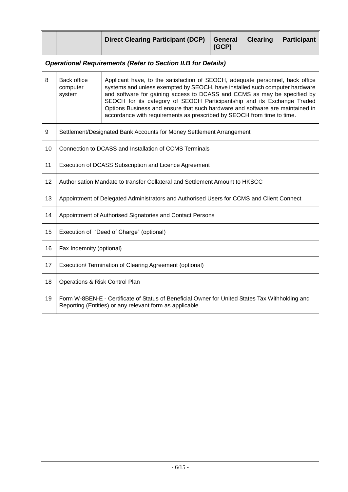|    |                                                                                                                                                            | <b>Direct Clearing Participant (DCP)</b>                                                                                                                                                                                                                                                                                                                                                                                                                                       | <b>General</b><br>(GCP) | <b>Clearing</b> | <b>Participant</b> |
|----|------------------------------------------------------------------------------------------------------------------------------------------------------------|--------------------------------------------------------------------------------------------------------------------------------------------------------------------------------------------------------------------------------------------------------------------------------------------------------------------------------------------------------------------------------------------------------------------------------------------------------------------------------|-------------------------|-----------------|--------------------|
|    |                                                                                                                                                            | <b>Operational Requirements (Refer to Section II.B for Details)</b>                                                                                                                                                                                                                                                                                                                                                                                                            |                         |                 |                    |
| 8  | <b>Back office</b><br>computer<br>system                                                                                                                   | Applicant have, to the satisfaction of SEOCH, adequate personnel, back office<br>systems and unless exempted by SEOCH, have installed such computer hardware<br>and software for gaining access to DCASS and CCMS as may be specified by<br>SEOCH for its category of SEOCH Participantship and its Exchange Traded<br>Options Business and ensure that such hardware and software are maintained in<br>accordance with requirements as prescribed by SEOCH from time to time. |                         |                 |                    |
| 9  | Settlement/Designated Bank Accounts for Money Settlement Arrangement                                                                                       |                                                                                                                                                                                                                                                                                                                                                                                                                                                                                |                         |                 |                    |
| 10 | Connection to DCASS and Installation of CCMS Terminals                                                                                                     |                                                                                                                                                                                                                                                                                                                                                                                                                                                                                |                         |                 |                    |
| 11 | Execution of DCASS Subscription and Licence Agreement                                                                                                      |                                                                                                                                                                                                                                                                                                                                                                                                                                                                                |                         |                 |                    |
| 12 | Authorisation Mandate to transfer Collateral and Settlement Amount to HKSCC                                                                                |                                                                                                                                                                                                                                                                                                                                                                                                                                                                                |                         |                 |                    |
| 13 | Appointment of Delegated Administrators and Authorised Users for CCMS and Client Connect                                                                   |                                                                                                                                                                                                                                                                                                                                                                                                                                                                                |                         |                 |                    |
| 14 | Appointment of Authorised Signatories and Contact Persons                                                                                                  |                                                                                                                                                                                                                                                                                                                                                                                                                                                                                |                         |                 |                    |
| 15 | Execution of "Deed of Charge" (optional)                                                                                                                   |                                                                                                                                                                                                                                                                                                                                                                                                                                                                                |                         |                 |                    |
| 16 | Fax Indemnity (optional)                                                                                                                                   |                                                                                                                                                                                                                                                                                                                                                                                                                                                                                |                         |                 |                    |
| 17 | Execution/ Termination of Clearing Agreement (optional)                                                                                                    |                                                                                                                                                                                                                                                                                                                                                                                                                                                                                |                         |                 |                    |
| 18 | Operations & Risk Control Plan                                                                                                                             |                                                                                                                                                                                                                                                                                                                                                                                                                                                                                |                         |                 |                    |
| 19 | Form W-8BEN-E - Certificate of Status of Beneficial Owner for United States Tax Withholding and<br>Reporting (Entities) or any relevant form as applicable |                                                                                                                                                                                                                                                                                                                                                                                                                                                                                |                         |                 |                    |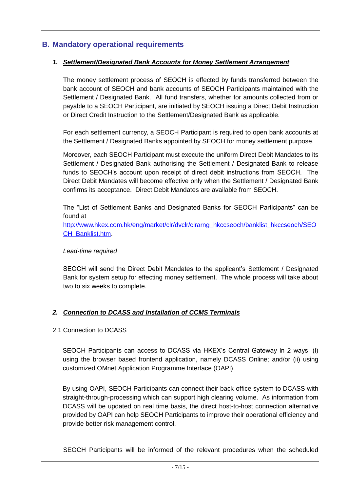#### **B. Mandatory operational requirements**

#### *1. Settlement/Designated Bank Accounts for Money Settlement Arrangement*

The money settlement process of SEOCH is effected by funds transferred between the bank account of SEOCH and bank accounts of SEOCH Participants maintained with the Settlement / Designated Bank. All fund transfers, whether for amounts collected from or payable to a SEOCH Participant, are initiated by SEOCH issuing a Direct Debit Instruction or Direct Credit Instruction to the Settlement/Designated Bank as applicable.

For each settlement currency, a SEOCH Participant is required to open bank accounts at the Settlement / Designated Banks appointed by SEOCH for money settlement purpose.

Moreover, each SEOCH Participant must execute the uniform Direct Debit Mandates to its Settlement / Designated Bank authorising the Settlement / Designated Bank to release funds to SEOCH's account upon receipt of direct debit instructions from SEOCH. The Direct Debit Mandates will become effective only when the Settlement / Designated Bank confirms its acceptance. Direct Debit Mandates are available from SEOCH.

The "List of Settlement Banks and Designated Banks for SEOCH Participants" can be found at

[http://www.hkex.com.hk/eng/market/clr/dvclr/clrarng\\_hkccseoch/banklist\\_hkccseoch/SEO](http://www.hkex.com.hk/eng/market/clr/dvclr/clrarng_hkccseoch/banklist_hkccseoch/SEOCH_Banklist.htm) [CH\\_Banklist.htm.](http://www.hkex.com.hk/eng/market/clr/dvclr/clrarng_hkccseoch/banklist_hkccseoch/SEOCH_Banklist.htm)

#### *Lead-time required*

SEOCH will send the Direct Debit Mandates to the applicant's Settlement / Designated Bank for system setup for effecting money settlement. The whole process will take about two to six weeks to complete.

#### *2. Connection to DCASS and Installation of CCMS Terminals*

#### 2.1 Connection to DCASS

SEOCH Participants can access to DCASS via HKEX's Central Gateway in 2 ways: (i) using the browser based frontend application, namely DCASS Online; and/or (ii) using customized OMnet Application Programme Interface (OAPI).

By using OAPI, SEOCH Participants can connect their back-office system to DCASS with straight-through-processing which can support high clearing volume. As information from DCASS will be updated on real time basis, the direct host-to-host connection alternative provided by OAPI can help SEOCH Participants to improve their operational efficiency and provide better risk management control.

SEOCH Participants will be informed of the relevant procedures when the scheduled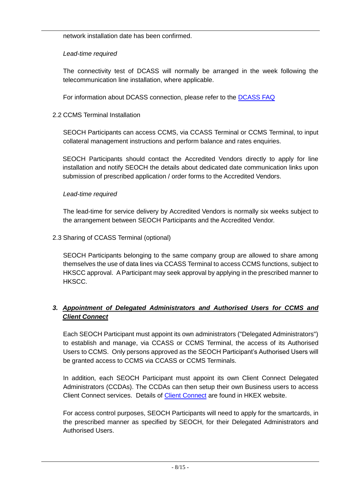network installation date has been confirmed.

#### *Lead-time required*

The connectivity test of DCASS will normally be arranged in the week following the telecommunication line installation, where applicable.

For information about DCASS connection, please refer to the [DCASS FAQ](https://www.hkex.com.hk/Global/Exchange/FAQ/Derivatives-Market/Clearing-and-Settlement-and-Collateral-Management?sc_lang=en&DCASS)

#### 2.2 CCMS Terminal Installation

SEOCH Participants can access CCMS, via CCASS Terminal or CCMS Terminal, to input collateral management instructions and perform balance and rates enquiries.

SEOCH Participants should contact the Accredited Vendors directly to apply for line installation and notify SEOCH the details about dedicated date communication links upon submission of prescribed application / order forms to the Accredited Vendors.

#### *Lead-time required*

The lead-time for service delivery by Accredited Vendors is normally six weeks subject to the arrangement between SEOCH Participants and the Accredited Vendor.

2.3 Sharing of CCASS Terminal (optional)

SEOCH Participants belonging to the same company group are allowed to share among themselves the use of data lines via CCASS Terminal to access CCMS functions, subject to HKSCC approval. A Participant may seek approval by applying in the prescribed manner to HKSCC.

## *3. Appointment of Delegated Administrators and Authorised Users for CCMS and Client Connect*

Each SEOCH Participant must appoint its own administrators ("Delegated Administrators") to establish and manage, via CCASS or CCMS Terminal, the access of its Authorised Users to CCMS. Only persons approved as the SEOCH Participant's Authorised Users will be granted access to CCMS via CCASS or CCMS Terminals.

In addition, each SEOCH Participant must appoint its own Client Connect Delegated Administrators (CCDAs). The CCDAs can then setup their own Business users to access Client Connect services. Details of [Client Connect](https://www.hkex.com.hk/Global/Exchange/FAQ/Featured/Nextgen-Post-Trade-Programme/Client-Connect?sc_lang=en) are found in HKEX website.

For access control purposes, SEOCH Participants will need to apply for the smartcards, in the prescribed manner as specified by SEOCH, for their Delegated Administrators and Authorised Users.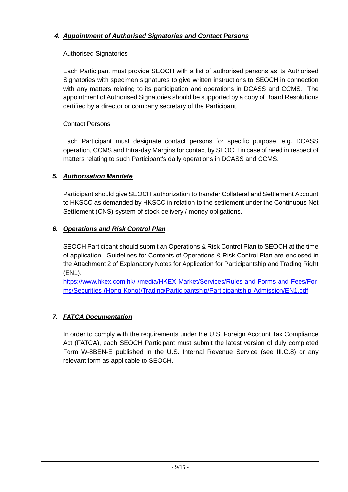## *4. Appointment of Authorised Signatories and Contact Persons*

#### Authorised Signatories

Each Participant must provide SEOCH with a list of authorised persons as its Authorised Signatories with specimen signatures to give written instructions to SEOCH in connection with any matters relating to its participation and operations in DCASS and CCMS. The appointment of Authorised Signatories should be supported by a copy of Board Resolutions certified by a director or company secretary of the Participant.

#### Contact Persons

Each Participant must designate contact persons for specific purpose, e.g. DCASS operation, CCMS and Intra-day Margins for contact by SEOCH in case of need in respect of matters relating to such Participant's daily operations in DCASS and CCMS.

#### *5. Authorisation Mandate*

Participant should give SEOCH authorization to transfer Collateral and Settlement Account to HKSCC as demanded by HKSCC in relation to the settlement under the Continuous Net Settlement (CNS) system of stock delivery / money obligations.

#### *6. Operations and Risk Control Plan*

SEOCH Participant should submit an Operations & Risk Control Plan to SEOCH at the time of application. Guidelines for Contents of Operations & Risk Control Plan are enclosed in the Attachment 2 of Explanatory Notes for Application for Participantship and Trading Right (EN1).

[https://www.hkex.com.hk/-/media/HKEX-Market/Services/Rules-and-Forms-and-Fees/For](https://www.hkex.com.hk/-/media/HKEX-Market/Services/Rules-and-Forms-and-Fees/Forms/Securities-(Hong-Kong)/Trading/Participantship/Participantship-Admission/EN1.pdf) [ms/Securities-\(Hong-Kong\)/Trading/Participantship/Participantship-Admission/EN1.pdf](https://www.hkex.com.hk/-/media/HKEX-Market/Services/Rules-and-Forms-and-Fees/Forms/Securities-(Hong-Kong)/Trading/Participantship/Participantship-Admission/EN1.pdf)

## *7. FATCA Documentation*

In order to comply with the requirements under the U.S. Foreign Account Tax Compliance Act (FATCA), each SEOCH Participant must submit the latest version of duly completed Form W-8BEN-E published in the U.S. Internal Revenue Service (see III.C.8) or any relevant form as applicable to SEOCH.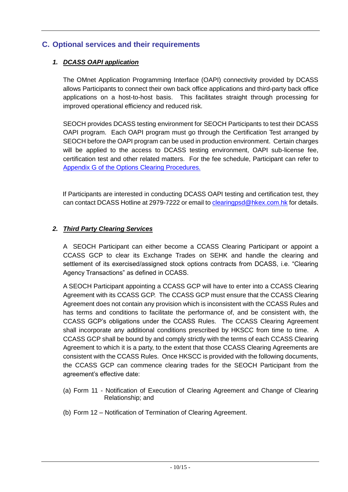## **C. Optional services and their requirements**

#### *1. DCASS OAPI application*

The OMnet Application Programming Interface (OAPI) connectivity provided by DCASS allows Participants to connect their own back office applications and third-party back office applications on a host-to-host basis. This facilitates straight through processing for improved operational efficiency and reduced risk.

SEOCH provides DCASS testing environment for SEOCH Participants to test their DCASS OAPI program. Each OAPI program must go through the Certification Test arranged by SEOCH before the OAPI program can be used in production environment. Certain charges will be applied to the access to DCASS testing environment, OAPI sub-license fee, certification test and other related matters. For the fee schedule, Participant can refer to [Appendix G of the Options Clearing Procedures.](https://www.hkex.com.hk/-/media/HKEX-Market/Services/Rules-and-Forms-and-Fees/Rules/SEOCH/Operational-Procedures/APP_G1.pdf?la=en)

If Participants are interested in conducting DCASS OAPI testing and certification test, they can contact DCASS Hotline at 2979-7222 or email t[o clearingpsd@hkex.com.hk](mailto:clearingpsd@hkex.com.hk) for details.

#### *2. Third Party Clearing Services*

A SEOCH Participant can either become a CCASS Clearing Participant or appoint a CCASS GCP to clear its Exchange Trades on SEHK and handle the clearing and settlement of its exercised/assigned stock options contracts from DCASS, i.e. "Clearing Agency Transactions" as defined in CCASS.

A SEOCH Participant appointing a CCASS GCP will have to enter into a CCASS Clearing Agreement with its CCASS GCP. The CCASS GCP must ensure that the CCASS Clearing Agreement does not contain any provision which is inconsistent with the CCASS Rules and has terms and conditions to facilitate the performance of, and be consistent with, the CCASS GCP's obligations under the CCASS Rules. The CCASS Clearing Agreement shall incorporate any additional conditions prescribed by HKSCC from time to time. A CCASS GCP shall be bound by and comply strictly with the terms of each CCASS Clearing Agreement to which it is a party, to the extent that those CCASS Clearing Agreements are consistent with the CCASS Rules. Once HKSCC is provided with the following documents, the CCASS GCP can commence clearing trades for the SEOCH Participant from the agreement's effective date:

- (a) Form 11 Notification of Execution of Clearing Agreement and Change of Clearing Relationship; and
- (b) Form 12 Notification of Termination of Clearing Agreement.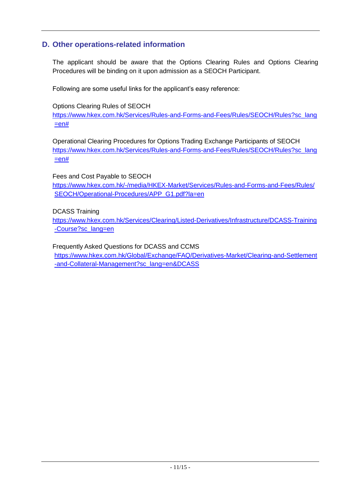## **D. Other operations-related information**

The applicant should be aware that the Options Clearing Rules and Options Clearing Procedures will be binding on it upon admission as a SEOCH Participant.

Following are some useful links for the applicant's easy reference:

Options Clearing Rules of SEOCH

[https://www.hkex.com.hk/Services/Rules-and-Forms-and-Fees/Rules/SEOCH/Rules?sc\\_lang](https://www.hkex.com.hk/Services/Rules-and-Forms-and-Fees/Rules/SEOCH/Rules?sc_lang=en)  $=$ en#

Operational Clearing Procedures for Options Trading Exchange Participants of SEOCH [https://www.hkex.com.hk/Services/Rules-and-Forms-and-Fees/Rules/SEOCH/Rules?sc\\_lang](https://www.hkex.com.hk/Services/Rules-and-Forms-and-Fees/Rules/SEOCH/Rules?sc_lang=en)  $=$ en#

Fees and Cost Payable to SEOCH [https://www.hkex.com.hk/-/media/HKEX-Market/Services/Rules-and-Forms-and-Fees/Rules/](https://www.hkex.com.hk/-/media/HKEX-Market/Services/Rules-and-Forms-and-Fees/Rules/SEOCH/Operational-Procedures/APP_G1.pdf?la=en) [SEOCH/Operational-Procedures/APP\\_G1.pdf?la=en](https://www.hkex.com.hk/-/media/HKEX-Market/Services/Rules-and-Forms-and-Fees/Rules/SEOCH/Operational-Procedures/APP_G1.pdf?la=en)

DCASS Training

[https://www.hkex.com.hk/Services/Clearing/Listed-Derivatives/Infrastructure/DCASS-Training](https://www.hkex.com.hk/Services/Clearing/Listed-Derivatives/Infrastructure/DCASS-Training-Course?sc_lang=en) [-Course?sc\\_lang=en](https://www.hkex.com.hk/Services/Clearing/Listed-Derivatives/Infrastructure/DCASS-Training-Course?sc_lang=en)

Frequently Asked Questions for DCASS and CCMS

[https://www.hkex.com.hk/Global/Exchange/FAQ/Derivatives-Market/Clearing-and-Settlement](https://www.hkex.com.hk/Global/Exchange/FAQ/Derivatives-Market/Clearing-and-Settlement-and-Collateral-Management?sc_lang=en&DCASS) [-and-Collateral-Management?sc\\_lang=en&DCASS](https://www.hkex.com.hk/Global/Exchange/FAQ/Derivatives-Market/Clearing-and-Settlement-and-Collateral-Management?sc_lang=en&DCASS)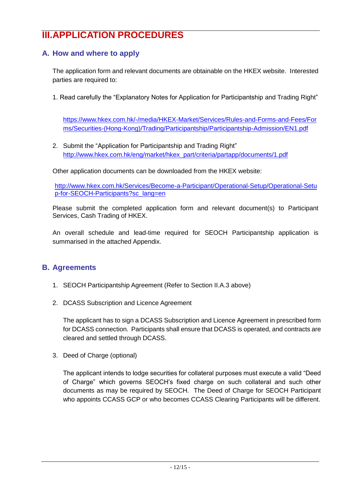# **III.APPLICATION PROCEDURES**

## **A. How and where to apply**

The application form and relevant documents are obtainable on the HKEX website. Interested parties are required to:

1. Read carefully the "Explanatory Notes for Application for Participantship and Trading Right"

[https://www.hkex.com.hk/-/media/HKEX-Market/Services/Rules-and-Forms-and-Fees/For](https://www.hkex.com.hk/-/media/HKEX-Market/Services/Rules-and-Forms-and-Fees/Forms/Securities-(Hong-Kong)/Trading/Participantship/Participantship-Admission/EN1.pdf) [ms/Securities-\(Hong-Kong\)/Trading/Participantship/Participantship-Admission/EN1.pdf](https://www.hkex.com.hk/-/media/HKEX-Market/Services/Rules-and-Forms-and-Fees/Forms/Securities-(Hong-Kong)/Trading/Participantship/Participantship-Admission/EN1.pdf)

2. Submit the "Application for Participantship and Trading Right" [http://www.hkex.com.hk/eng/market/hkex\\_part/criteria/partapp/documents/1.pdf](http://www.hkex.com.hk/eng/market/hkex_part/criteria/partapp/documents/1.pdf)

Other application documents can be downloaded from the HKEX website:

[http://www.hkex.com.hk/Services/Become-a-Participant/Operational-Setup/Operational-Setu](http://www.hkex.com.hk/Services/Become-a-Participant/Operational-Setup/Operational-Setup-for-SEOCH-Participants?sc_lang=en) [p-for-SEOCH-Participants?sc\\_lang=en](http://www.hkex.com.hk/Services/Become-a-Participant/Operational-Setup/Operational-Setup-for-SEOCH-Participants?sc_lang=en)

Please submit the completed application form and relevant document(s) to Participant Services, Cash Trading of HKEX.

An overall schedule and lead-time required for SEOCH Participantship application is summarised in the attached Appendix.

## **B. Agreements**

- 1. SEOCH Participantship Agreement (Refer to Section II.A.3 above)
- 2. DCASS Subscription and Licence Agreement

The applicant has to sign a DCASS Subscription and Licence Agreement in prescribed form for DCASS connection. Participants shall ensure that DCASS is operated, and contracts are cleared and settled through DCASS.

3. Deed of Charge (optional)

The applicant intends to lodge securities for collateral purposes must execute a valid "Deed of Charge" which governs SEOCH's fixed charge on such collateral and such other documents as may be required by SEOCH. The Deed of Charge for SEOCH Participant who appoints CCASS GCP or who becomes CCASS Clearing Participants will be different.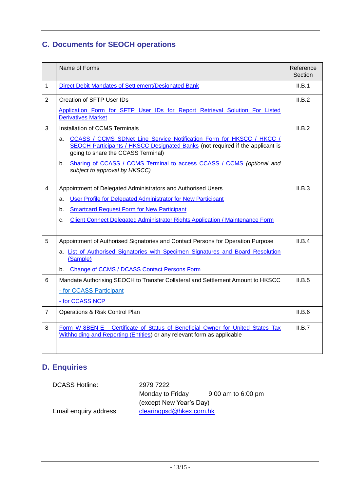# **C. Documents for SEOCH operations**

|                | Name of Forms                                                                                                                                                                                            | Reference<br>Section |
|----------------|----------------------------------------------------------------------------------------------------------------------------------------------------------------------------------------------------------|----------------------|
| 1              | Direct Debit Mandates of Settlement/Designated Bank                                                                                                                                                      | II.B.1               |
| $\overline{2}$ | Creation of SFTP User IDs                                                                                                                                                                                | II.B.2               |
|                | Application Form for SFTP User IDs for Report Retrieval Solution For Listed<br><b>Derivatives Market</b>                                                                                                 |                      |
| 3              | <b>Installation of CCMS Terminals</b>                                                                                                                                                                    | II.B.2               |
|                | CCASS / CCMS SDNet Line Service Notification Form for HKSCC / HKCC /<br>а.<br><b>SEOCH Participants / HKSCC Designated Banks (not required if the applicant is</b><br>going to share the CCASS Terminal) |                      |
|                | Sharing of CCASS / CCMS Terminal to access CCASS / CCMS (optional and<br>b.<br>subject to approval by HKSCC)                                                                                             |                      |
| $\overline{4}$ | Appointment of Delegated Administrators and Authorised Users                                                                                                                                             | II.B.3               |
|                | User Profile for Delegated Administrator for New Participant<br>a.                                                                                                                                       |                      |
|                | <b>Smartcard Request Form for New Participant</b><br>b.                                                                                                                                                  |                      |
|                | <b>Client Connect Delegated Administrator Rights Application / Maintenance Form</b><br>c.                                                                                                                |                      |
| 5              | Appointment of Authorised Signatories and Contact Persons for Operation Purpose                                                                                                                          | II.B.4               |
|                | a. List of Authorised Signatories with Specimen Signatures and Board Resolution<br>(Sample)                                                                                                              |                      |
|                | <b>Change of CCMS / DCASS Contact Persons Form</b><br>b.                                                                                                                                                 |                      |
| 6              | Mandate Authorising SEOCH to Transfer Collateral and Settlement Amount to HKSCC                                                                                                                          | II.B.5               |
|                | - for CCASS Participant                                                                                                                                                                                  |                      |
|                | - for CCASS NCP                                                                                                                                                                                          |                      |
| $\overline{7}$ | Operations & Risk Control Plan                                                                                                                                                                           | II.B.6               |
| 8              | Form W-8BEN-E - Certificate of Status of Beneficial Owner for United States Tax<br>Withholding and Reporting (Entities) or any relevant form as applicable                                               | II.B.7               |

# **D. Enquiries**

| <b>DCASS Hotline:</b>  | 2979 7222               |                    |
|------------------------|-------------------------|--------------------|
|                        | Monday to Friday        | 9:00 am to 6:00 pm |
|                        | (except New Year's Day) |                    |
| Email enquiry address: | clearingpsd@hkex.com.hk |                    |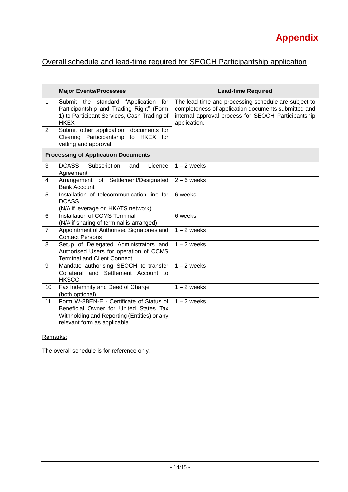# Overall schedule and lead-time required for SEOCH Participantship application

|                | <b>Major Events/Processes</b>                                                                                                                                    | <b>Lead-time Required</b>                                                                                                                                                          |
|----------------|------------------------------------------------------------------------------------------------------------------------------------------------------------------|------------------------------------------------------------------------------------------------------------------------------------------------------------------------------------|
| $\mathbf{1}$   | Submit the standard "Application for<br>Participantship and Trading Right" (Form<br>1) to Participant Services, Cash Trading of<br><b>HKEX</b>                   | The lead-time and processing schedule are subject to<br>completeness of application documents submitted and<br>internal approval process for SEOCH Participantship<br>application. |
| $\overline{2}$ | Submit other application documents for<br>Clearing Participantship<br>to HKEX for<br>vetting and approval                                                        |                                                                                                                                                                                    |
|                | <b>Processing of Application Documents</b>                                                                                                                       |                                                                                                                                                                                    |
| 3              | <b>DCASS</b><br>Subscription<br>Licence<br>and<br>Agreement                                                                                                      | $1 - 2$ weeks                                                                                                                                                                      |
| 4              | Arrangement of Settlement/Designated<br><b>Bank Account</b>                                                                                                      | $2 - 6$ weeks                                                                                                                                                                      |
| 5              | Installation of telecommunication line for<br><b>DCASS</b><br>(N/A if leverage on HKATS network)                                                                 | 6 weeks                                                                                                                                                                            |
| 6              | Installation of CCMS Terminal<br>(N/A if sharing of terminal is arranged)                                                                                        | 6 weeks                                                                                                                                                                            |
| $\overline{7}$ | Appointment of Authorised Signatories and<br><b>Contact Persons</b>                                                                                              | $1 - 2$ weeks                                                                                                                                                                      |
| 8              | Setup of Delegated Administrators and<br>Authorised Users for operation of CCMS<br><b>Terminal and Client Connect</b>                                            | $1 - 2$ weeks                                                                                                                                                                      |
| 9              | Mandate authorising SEOCH to transfer<br>Collateral and Settlement Account to<br><b>HKSCC</b>                                                                    | $1 - 2$ weeks                                                                                                                                                                      |
| 10             | Fax Indemnity and Deed of Charge<br>(both optional)                                                                                                              | $1 - 2$ weeks                                                                                                                                                                      |
| 11             | Form W-8BEN-E - Certificate of Status of<br>Beneficial Owner for United States Tax<br>Withholding and Reporting (Entities) or any<br>relevant form as applicable | $1 - 2$ weeks                                                                                                                                                                      |

#### Remarks:

The overall schedule is for reference only.